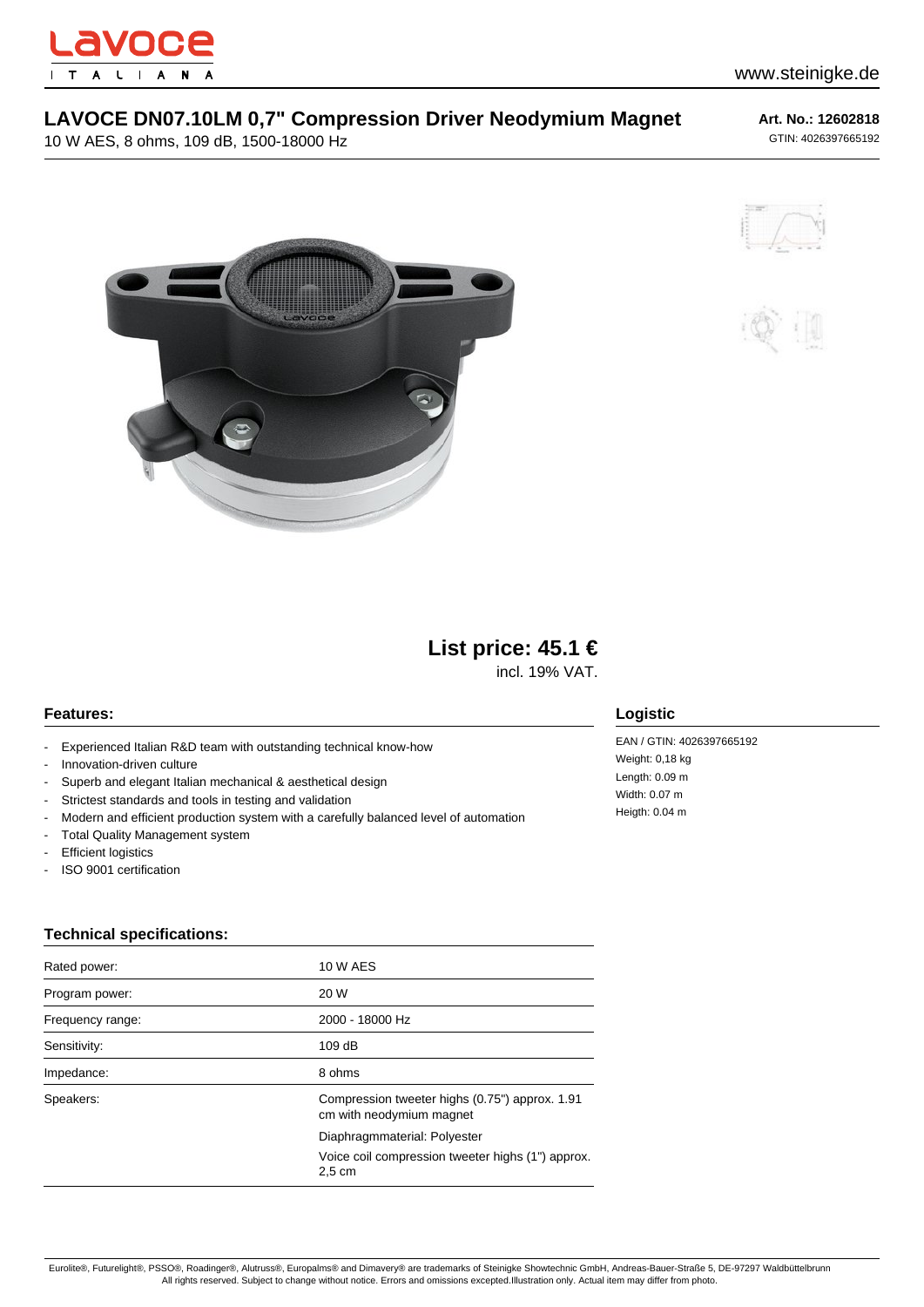

## **LAVOCE DN07.10LM 0,7" Compression Driver Neodymium Magnet**

10 W AES, 8 ohms, 109 dB, 1500-18000 Hz

**Art. No.: 12602818** GTIN: 4026397665192







# **List price: 45.1 €**

incl. 19% VAT.

### **Features:**

- Experienced Italian R&D team with outstanding technical know-how
- Innovation-driven culture
- Superb and elegant Italian mechanical & aesthetical design
- Strictest standards and tools in testing and validation
- Modern and efficient production system with a carefully balanced level of automation
- Total Quality Management system
- Efficient logistics
- ISO 9001 certification

### **Technical specifications:**

| Rated power:     | <b>10 W AES</b>                                                            |
|------------------|----------------------------------------------------------------------------|
| Program power:   | 20 W                                                                       |
| Frequency range: | 2000 - 18000 Hz                                                            |
| Sensitivity:     | 109dB                                                                      |
| Impedance:       | 8 ohms                                                                     |
| Speakers:        | Compression tweeter highs (0.75") approx. 1.91<br>cm with neodymium magnet |
|                  | Diaphragmmaterial: Polyester                                               |
|                  | Voice coil compression tweeter highs (1") approx.<br>$2.5 \text{ cm}$      |

#### **Logistic**

EAN / GTIN: 4026397665192 Weight: 0,18 kg Length: 0.09 m Width: 0.07 m Heigth: 0.04 m